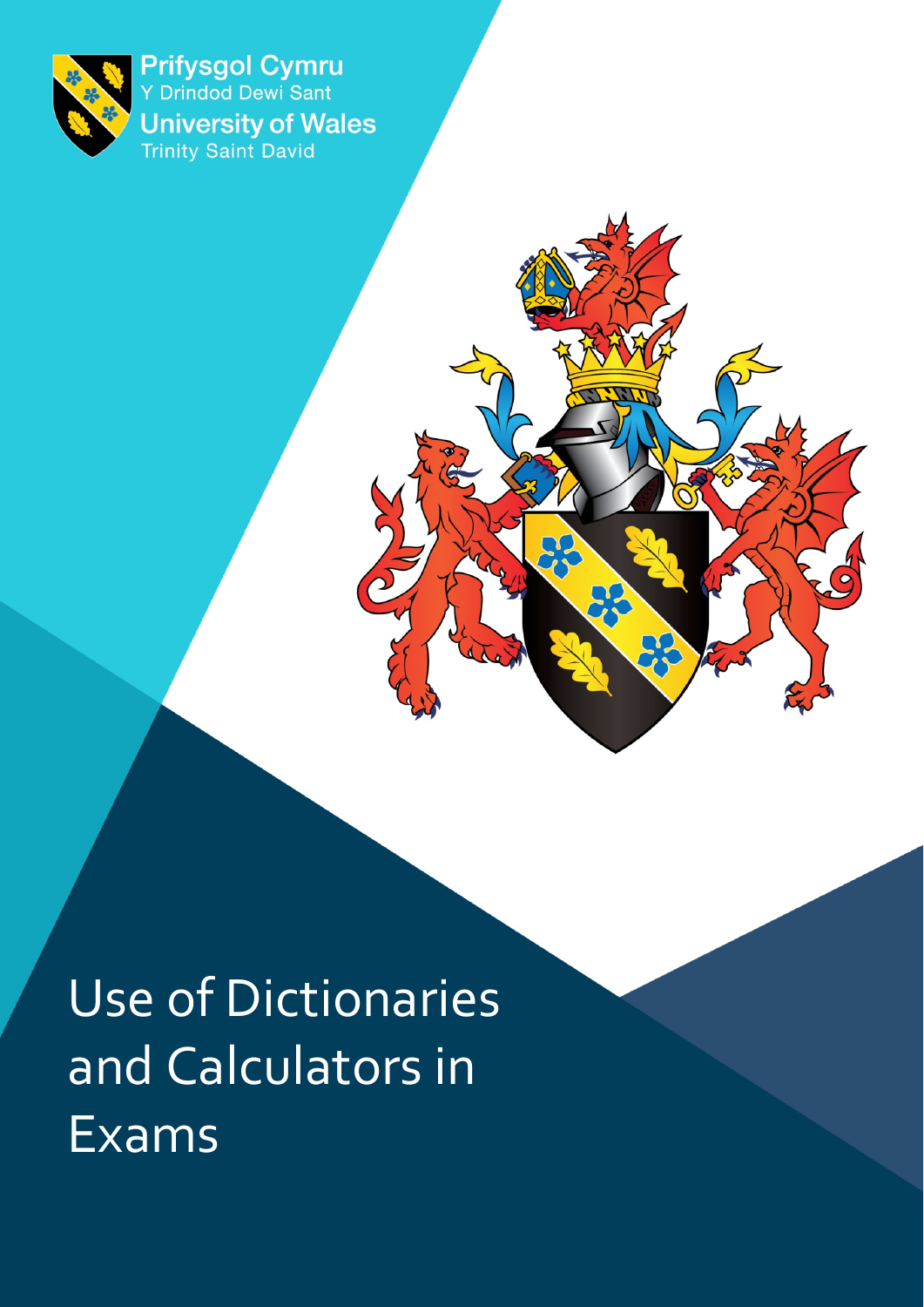<span id="page-0-0"></span>

Prifysgol Cymru **University of Wales**<br>Trinity Saint David

Use of Dictionaries and Calculators in Exams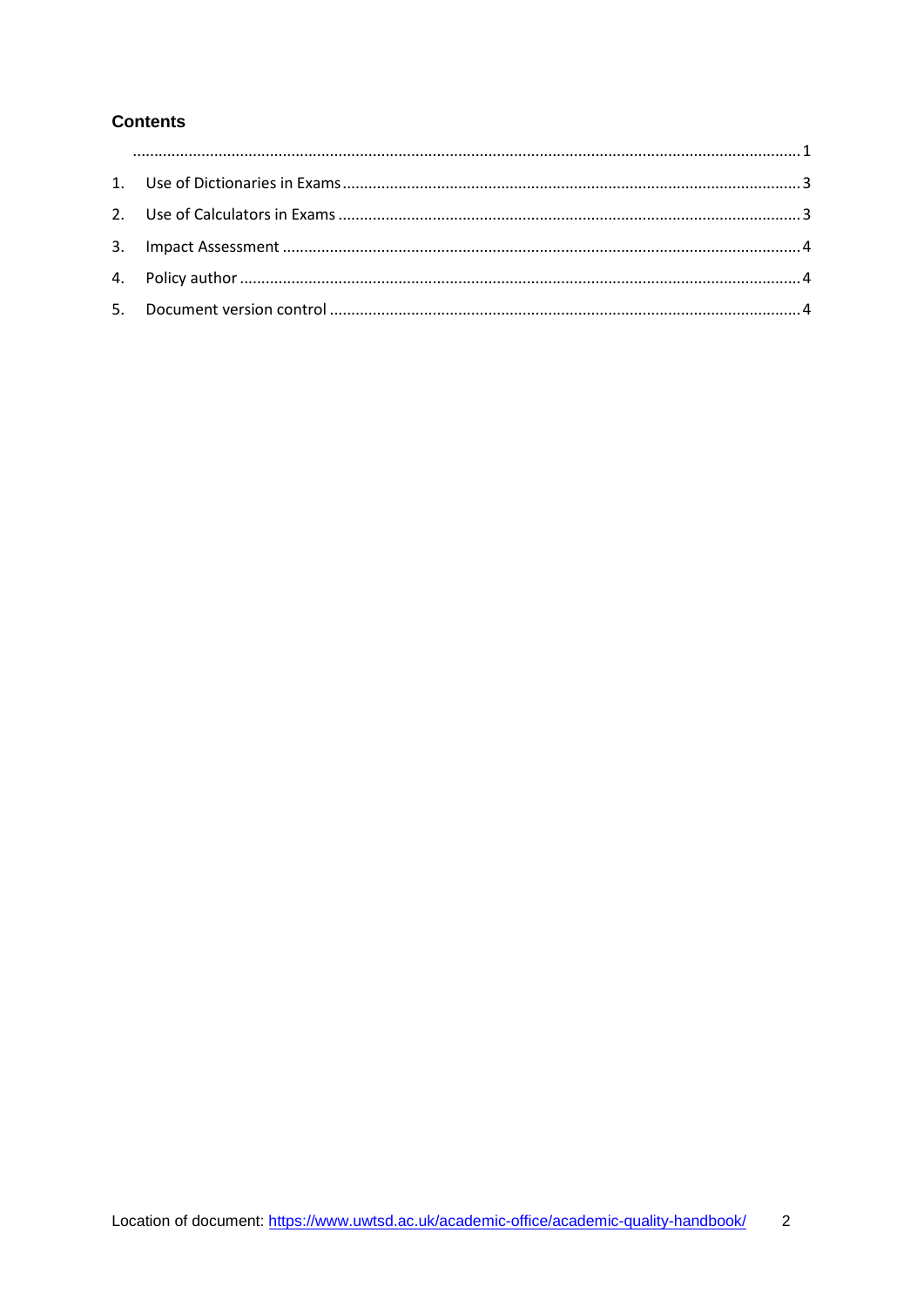#### **Contents**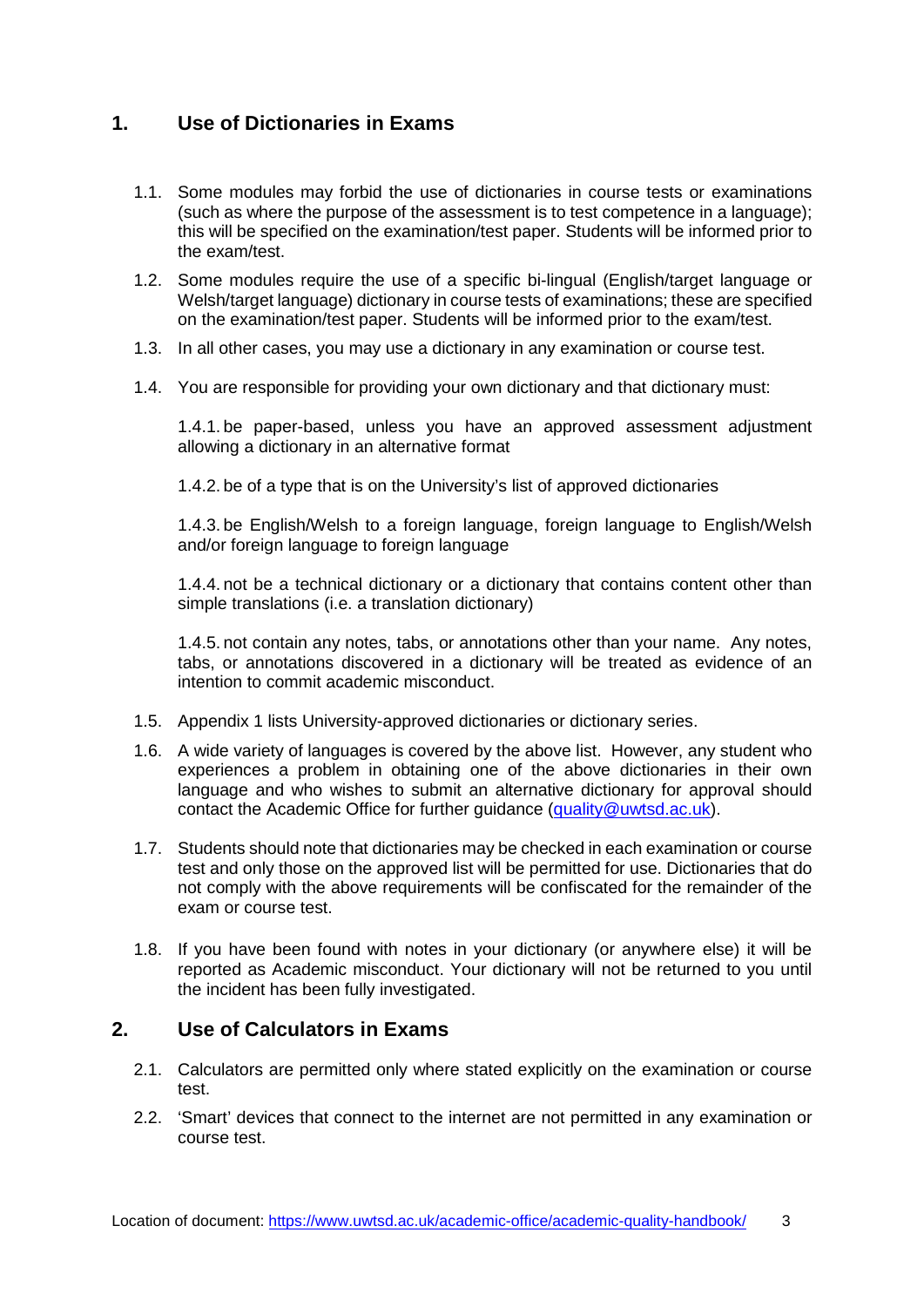# <span id="page-2-0"></span>**1. Use of Dictionaries in Exams**

- 1.1. Some modules may forbid the use of dictionaries in course tests or examinations (such as where the purpose of the assessment is to test competence in a language); this will be specified on the examination/test paper. Students will be informed prior to the exam/test.
- 1.2. Some modules require the use of a specific bi-lingual (English/target language or Welsh/target language) dictionary in course tests of examinations; these are specified on the examination/test paper. Students will be informed prior to the exam/test.
- 1.3. In all other cases, you may use a dictionary in any examination or course test.
- 1.4. You are responsible for providing your own dictionary and that dictionary must:

1.4.1. be paper-based, unless you have an approved assessment adjustment allowing a dictionary in an alternative format

1.4.2. be of a type that is on the University's list of approved dictionaries

1.4.3. be English/Welsh to a foreign language, foreign language to English/Welsh and/or foreign language to foreign language

1.4.4. not be a technical dictionary or a dictionary that contains content other than simple translations (i.e. a translation dictionary)

1.4.5. not contain any notes, tabs, or annotations other than your name. Any notes, tabs, or annotations discovered in a dictionary will be treated as evidence of an intention to commit academic misconduct.

- 1.5. Appendix 1 lists University-approved dictionaries or dictionary series.
- 1.6. A wide variety of languages is covered by the above list. However, any student who experiences a problem in obtaining one of the above dictionaries in their own language and who wishes to submit an alternative dictionary for approval should contact the Academic Office for further guidance [\(quality@uwtsd.ac.uk\)](mailto:quality@uwtsd.ac.uk).
- 1.7. Students should note that dictionaries may be checked in each examination or course test and only those on the approved list will be permitted for use. Dictionaries that do not comply with the above requirements will be confiscated for the remainder of the exam or course test.
- 1.8. If you have been found with notes in your dictionary (or anywhere else) it will be reported as Academic misconduct. Your dictionary will not be returned to you until the incident has been fully investigated.

## <span id="page-2-1"></span>**2. Use of Calculators in Exams**

- 2.1. Calculators are permitted only where stated explicitly on the examination or course test.
- 2.2. 'Smart' devices that connect to the internet are not permitted in any examination or course test.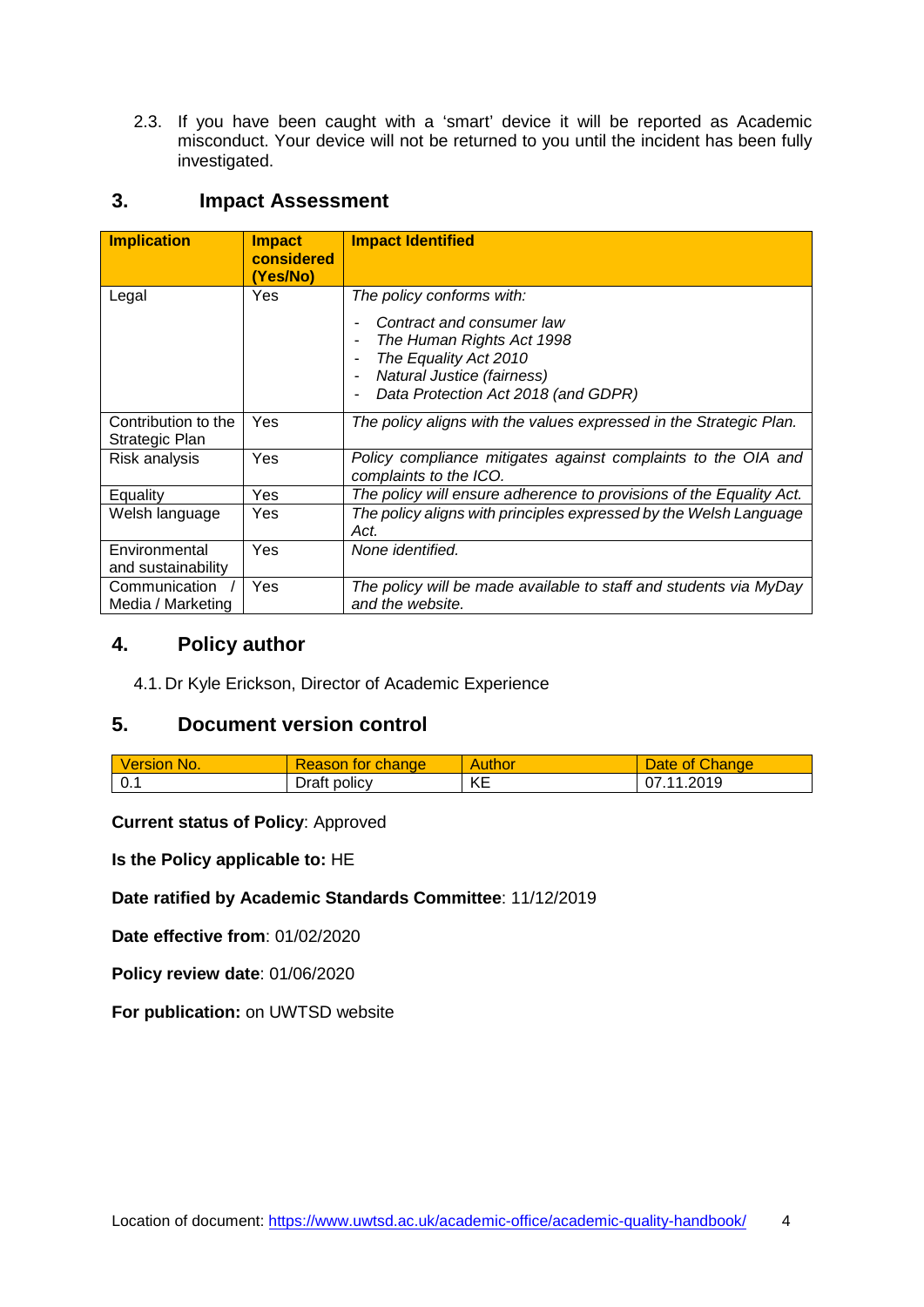2.3. If you have been caught with a 'smart' device it will be reported as Academic misconduct. Your device will not be returned to you until the incident has been fully investigated.

## <span id="page-3-0"></span>**3. Impact Assessment**

| <b>Implication</b>                    | <b>Impact</b><br>considered<br>(Yes/No) | <b>Impact Identified</b>                                                                                                                                    |
|---------------------------------------|-----------------------------------------|-------------------------------------------------------------------------------------------------------------------------------------------------------------|
| Legal                                 | Yes                                     | The policy conforms with:                                                                                                                                   |
|                                       |                                         | Contract and consumer law<br>The Human Rights Act 1998<br>The Equality Act 2010<br><b>Natural Justice (fairness)</b><br>Data Protection Act 2018 (and GDPR) |
| Contribution to the<br>Strategic Plan | <b>Yes</b>                              | The policy aligns with the values expressed in the Strategic Plan.                                                                                          |
| Risk analysis                         | Yes                                     | Policy compliance mitigates against complaints to the OIA and<br>complaints to the ICO.                                                                     |
| Equality                              | Yes                                     | The policy will ensure adherence to provisions of the Equality Act.                                                                                         |
| Welsh language                        | Yes                                     | The policy aligns with principles expressed by the Welsh Language<br>Act.                                                                                   |
| Environmental<br>and sustainability   | Yes                                     | None identified.                                                                                                                                            |
| Communication<br>Media / Marketing    | Yes                                     | The policy will be made available to staff and students via MyDay<br>and the website.                                                                       |

## <span id="page-3-1"></span>**4. Policy author**

4.1. Dr Kyle Erickson, Director of Academic Experience

# <span id="page-3-2"></span>**5. Document version control**

| <b>Version No.</b> | Reason for change | Author     | Change<br><b>Jate</b><br><b>OT</b> |
|--------------------|-------------------|------------|------------------------------------|
| 0.1                | Draft policy      | KE<br>INL. | 1.2019<br>N7 11                    |

**Current status of Policy**: Approved

**Is the Policy applicable to:** HE

**Date ratified by Academic Standards Committee**: 11/12/2019

**Date effective from**: 01/02/2020

**Policy review date**: 01/06/2020

**For publication:** on UWTSD website